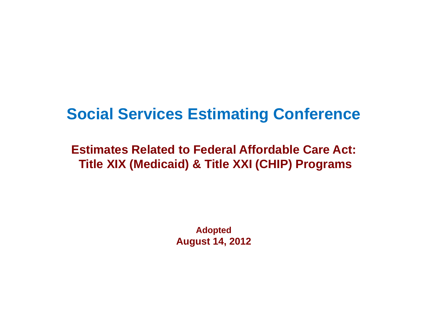## **Social Services Estimating Conference**

#### **Estimates Related to Federal Affordable Care Act: Title XIX (Medicaid) & Title XXI (CHIP) Programs**

**Adopted August 14, 2012**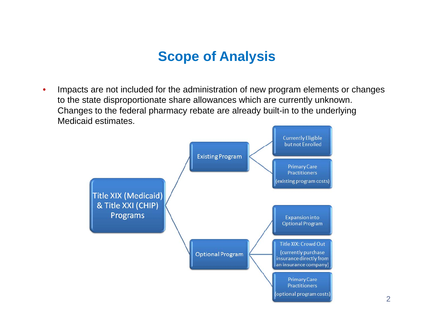#### **Scope of Analysis**

 $\bullet$  Impacts are not included for the administration of new program elements or changes to the state disproportionate share allowances which are currently unknown. Changes to the federal pharmacy rebate are already built-in to the underlying Medicaid estimates.

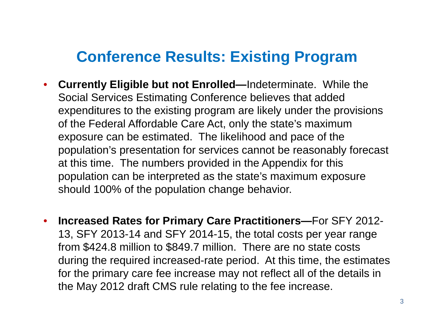#### **Conference Results: Existing Program**

- $\bullet$  **Currently Eligible but not Enrolled—**Indeterminate. While the Social Services Estimating Conference believes that added expenditures to the existing program are likely under the provisions of the Federal Affordable Care Act, only the state's maximum exposure can be estimated. The likelihood and pace of the population's presentation for services cannot be reasonably forecast at this time. The numbers provided in the Appendix for this population can be interpreted as the state's maximum exposure should 100% of the population change behavior.
- $\bullet$  **Increased Rates for Primary Care Practitioners—**For SFY 2012- 13, SFY 2013-14 and SFY 2014-15, the total costs per year range from \$424.8 million to \$849.7 million. There are no state costs during the required increased-rate period. At this time, the estimates for the primary care fee increase may not reflect all of the details in the May 2012 draft CMS rule relating to the fee increase.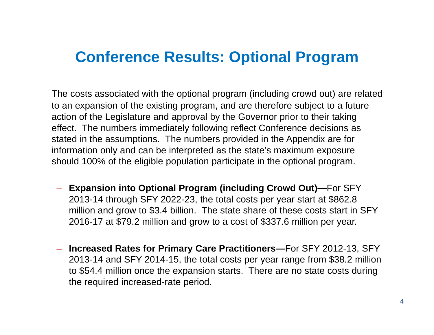#### **Conference Results: Optional Program**

The costs associated with the optional program (including crowd out) are related to an expansion of the existing program, and are therefore subject to a future action of the Legislature and approval by the Governor prior to their taking effect. The numbers immediately following reflect Conference decisions as stated in the assumptions. The numbers provided in the Appendix are for information only and can be interpreted as the state's maximum exposure should 100% of the eligible population participate in the optional program.

- **Expansion into Optional Program (including Crowd Out) —**For SFY 2013-14 through SFY 2022-23, the total costs per year start at \$862.8 million and grow to \$3.4 billion. The state share of these costs start in SFY 2016-17 at \$79.2 million and grow to a cost of \$337.6 million per year.
- – **Increased Rates for Primary Care Practitioners—**For SFY 2012-13, SFY 2013-14 and SFY 2014-15, the total costs per year range from \$38.2 million to \$54.4 million once the expansion starts. There are no state costs during the required increased-rate period.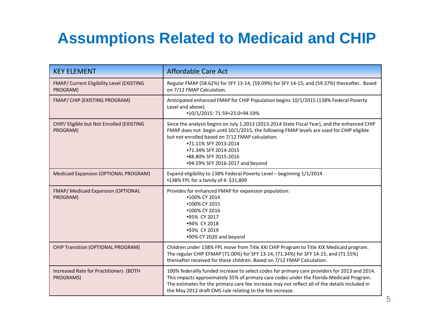# **Assumptions Related to Medicaid and CHIP**

| <b>KEY ELEMENT</b>                                    | <b>Affordable Care Act</b>                                                                                                                                                                                                                                                                                                                                    |
|-------------------------------------------------------|---------------------------------------------------------------------------------------------------------------------------------------------------------------------------------------------------------------------------------------------------------------------------------------------------------------------------------------------------------------|
| FMAP/ Current Eligibility Level (EXISTING<br>PROGRAM) | Regular FMAP (58.62%) for SFY 13-14, (59.09%) for SFY 14-15, and (59.37%) thereafter. Based<br>on 7/12 FMAP Calculation.                                                                                                                                                                                                                                      |
| FMAP/ CHIP (EXISTING PROGRAM)                         | Anticipated enhanced FMAP for CHIP Population begins 10/1/2015 (138% Federal Poverty<br>Level and above)<br>•10/1/2015: 71.59+23.0=94.59%                                                                                                                                                                                                                     |
| CHIP/ Eligible but Not Enrolled (EXISTING<br>PROGRAM) | Since the analysis begins on July 1,2013 (2013-2014 State Fiscal Year), and the enhanced CHIP<br>FMAP does not begin until 10/1/2015, the following FMAP levels are used for CHIP eligible<br>but not enrolled based on 7/12 FMAP calculation:<br>•71.11% SFY 2013-2014<br>•71.34% SFY 2014-2015<br>•88.80% SFY 2015-2016<br>•94.59% SFY 2016-2017 and beyond |
| Medicaid Expansion (OPTIONAL PROGRAM)                 | Expand eligibility to 138% Federal Poverty Level - beginning 1/1/2014<br>•138% FPL for a family of 4: \$31,809                                                                                                                                                                                                                                                |
| FMAP/ Medicaid Expansion (OPTIONAL<br>PROGRAM)        | Provides for enhanced FMAP for expansion population:<br>•100% CY 2014<br>•100% CY 2015<br>•100% CY 2016<br>•95% CY 2017<br>•94% CY 2018<br>•93% CY 2019<br>.90% CY 2020 and beyond                                                                                                                                                                            |
| <b>CHIP Transition (OPTIONAL PROGRAM)</b>             | Children under 138% FPL move from Title XXI CHIP Program to Title XIX Medicaid program.<br>The regular CHIP EFMAP (71.00%) for SFY 13-14, (71.34%) for SFY 14-15, and (71.55%)<br>thereafter received for these children. Based on 7/12 FMAP Calculation.                                                                                                     |
| Increased Rate for Practitioners (BOTH<br>PROGRAMS)   | 100% federallly funded increase to select codes for primary care providers for 2013 and 2014.<br>This impacts approximately 35% of primary care codes under the Florida Medicaid Program.<br>The estimates for the primary care fee increase may not reflect all of the details included in<br>the May 2012 draft CMS rule relating to the fee increase.      |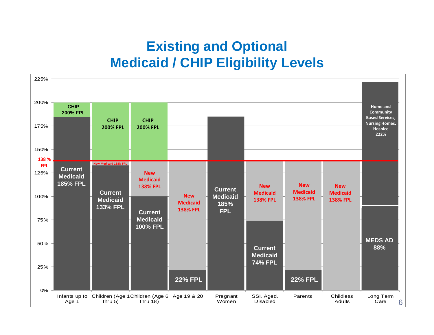#### **Existing and Optional Medicaid / CHIP Eligibility Levels**

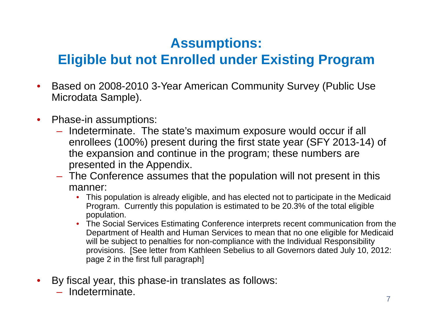#### **Eligible but not Enrolled under Existing Program**

- • Based on 2008-2010 3-Year American Community Survey (Public Use Microdata Sample).
- $\bullet$  Phase-in assumptions:
	- – Indeterminate. The state's maximum exposure would occur if all enrollees (100%) present during the first state year (SFY 2013-14) of the expansion and continue in the program; these numbers are presented in the Appendix.
	- – The Conference assumes that the population will not present in this manner:
		- This population is already eligible, and has elected not to participate in the Medicaid Program. Currently this population is estimated to be 20.3% of the total eligible population.
		- The Social Services Estimating Conference interprets recent communication from the Department of Health and Human Services to mean that no one eligible for Medicaid will be subject to penalties for non-compliance with the Individual Responsibility provisions. [See letter from Kathleen Sebelius to all Governors dated July 10, 2012: page 2 in the first full paragraph]
- $\bullet$  By fiscal year, this phase-in translates as follows:
	- $\mathcal{L}_{\mathcal{A}}$ Indeterminate.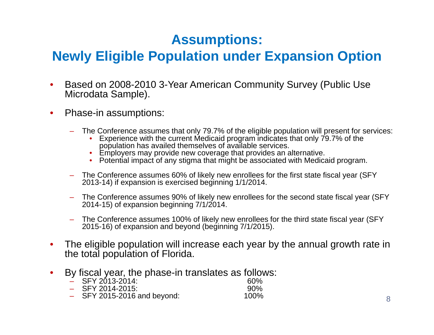#### **Newly Eligible Population under Expansion Option**

- • Based on 2008-2010 3-Year American Community Survey (Public Use Microdata Sample).
- • Phase-in assumptions:
	- The Conference assumes that only 79.7% of the eligible population will present for services:
		- Experience with the current Medicaid program indicates that only 79.7% of the population has availed themselves of available services.
		- Employers may provide new coverage that provides an alternative.
		- Potential impact of any stigma that might be associated with Medicaid program.
	- The Conference assumes 60% of likely new enrollees for the first state fiscal year (SFY 2013-14) if expansion is exercised beginning 1/1/2014.
	- The Conference assumes 90% of likely new enrollees for the second state fiscal year (SFY 2014-15) of expansion beginning  $7/1/2014$ .
	- The Conference assumes 100% of likely new enrollees for the third state fiscal year (SFY 2015-16) of expansion and beyond (beginning 7/1/2015).
- • The eligible population will increase each year by the annual growth rate in the total population of Florida.
- $\bullet$ By fiscal year, the phase-in translates as follows:<br> $-$  SFY 2013-2014:
	- SFY 2013-2014: 60%90% – SFY 2014-2015: 90%
	- $-$  SFY 2015-2016 and beyond:  $100\%$  8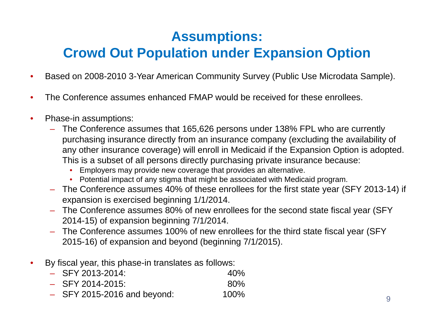#### **Crowd Out Population under Expansion Option**

- $\bullet$ Based on 2008-2010 3-Year American Community Survey (Public Use Microdata Sample).
- $\bullet$ The Conference assumes enhanced FMAP would be received for these enrollees.
- $\bullet$  Phase-in assumptions:
	- The Conference assumes that 165,626 persons under 138% FPL who are currently purchasing insurance directly from an insurance company (excluding the availability of any other insurance coverage) will enroll in Medicaid if the Expansion Option is adopted. This is a subset of all persons directly purchasing private insurance because:
		- •Employers may provide new coverage that provides an alternative.
		- Potential impact of any stigma that might be associated with Medicaid program.
	- $-$  The Conference assumes 40% of these enrollees for the first state year (SFY 2013-14) if expansion is exercised beginning 1/1/2014.
	- The Conference assumes 80% of new enrollees for the second state fiscal year (SFY 2014-15) of expansion beginning 7/1/2014.
	- $-$  The Conference assumes 100% of new enrollees for the third state fiscal year (SFY  $\,$ 2015-16) of expansion and beyond (beginning 7/1/2015).
- $\bullet$  By fiscal year, this phase-in translates as follows:
	- SFY 2013 2013-2014: 40%– SFY 2014-2015: 80%
	- $-$  SFY 2015-2016 and beyond:  $100\%$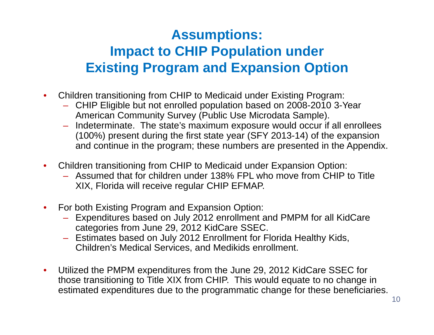#### **Assumptions: Impact to CHIP Population under Existing Program and Expansion Option**

- $\bullet$  Children transitioning from CHIP to Medicaid under Existing Program:
	- CHIP Eligible but not enrolled population based on 2008-2010 3-Year American Community Survey (Public Use Microdata Sample).
	- Indeterminate. The state's maximum exposure would occur if all enrollees (100%) present during the first state year (SFY 2013-14) of the expansion and continue in the program; these numbers are presented in the Appendix.
- $\bullet$  Children transitioning from CHIP to Medicaid under Expansion Option:
	- Assumed that for children under 138% FPL who move from CHIP to Title XIX, Florida will receive regular CHIP EFMAP.
- $\bullet$  For both Existing Program and Expansion Option:
	- Expenditures based on July 2012 enrollment and PMPM for all KidCare categories from June 29, 2012 KidCare SSEC.
	- Estimates based on July 2012 Enrollment for Florida Healthy Kids, Children's Medical Services, and Medikids enrollment.
- $\bullet$ Utilized the PMPM expenditures from the June 29, 2012 KidCare SSEC for those transitioning to Title XIX from CHIP. This would equate to no change in estimated expenditures due to the programmatic change for these beneficiaries.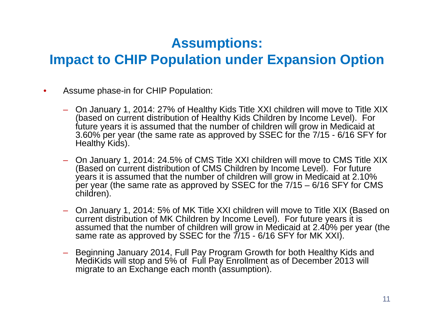#### **Impact to CHIP Population under Expansion Option**

- • Assume phase-in for CHIP Population:
	- On January 1, 2014: 27% of Healthy Kids Title XXI children will move to Title XIX (based on current distribution of Healthy Kids Children by Income Level). For future years it is assumed that the number of children will grow in Medicaid at 3.60% per year (the same rate as approved by SSEC for the 7/15 - 6/16 SFY for Healthy Kids).
	- On January 1, 2014: 24.5% of CMS Title XXI children will move to CMS Title XIX (Based on current distribution of CMS Children by Income Level). For future years it is assumed that the number of children will grow in Medicaid at 2.10% per year (the same rate as approved by SSEC for the  $7/15 - 6/16$  SFY for CMS children).
	- On January 1, 2014: 5% of MK Title XXI children will move to Title XIX (Based on current distribution of MK Children by Income Level). For future years it is assumed that the number of children will grow in Medicaid at 2.40% per year (the same rate as approved by SSEC for the  $7/15$  - 6/16 SFY for MK XXI).
	- Beginning January 2014, Full Pay Program Growth for both Healthy Kids and MediKids will stop and 5% of Full Pay Enrollment as of December 2013 will migrate to an Exchange each month (assumption).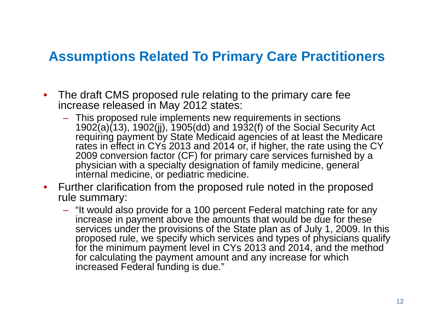#### **Assumptions Related To Primary Care Practitioners**

- $\bullet$  The draft CMS proposed rule relating to the primary care fee increase released in May 2012 states:
	- This proposed rule implements new requirements in sections 1902(a)(13), 1902(jj), 1905(dd) and 1932(f) of the Social Security Act requiring payment by State Medicaid agencies of at least the Medicare rates in effect in CYs 2013 and 2014 or, if higher, the rate using the CY 2009 conversion factor (CF) for primary care services furnished by a physician with a specialty designation of family medicine, general internal medicine, or pediatric medicine.
- Further clarification from the proposed rule noted in the proposed rule summary:
	- "It would also provide for a 100 percent Federal matching rate for any increase in payment above the amounts that would be due for these services under the provisions of the State plan as of July 1, 2009. In this proposed rule, we specify which services and types of physicians qualify for the minimum payment level in CYs 2013 and 2014, and the method for calculating the payment amount and any increase for which increased Federal funding is due."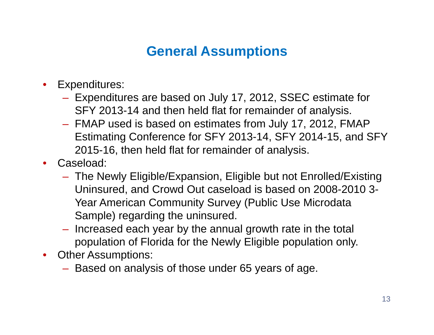#### **General Assumptions**

- $\bullet$  Expenditures:
	- Expenditures are based on July 17, 2012, SSEC estimate for SFY 2013-14 and then held flat for remainder of analysis.
	- FMAP used is based on estimates from July 17, 2012, FMAP Estimating Conference for SFY 2013-14, SFY 2014-15, and SFY 2015-16, then held flat for remainder of analysis.
- $\bullet$  Caseload:
	- The Newly Eligible/Expansion, Eligible but not Enrolled/Existing Uninsured, and Crowd Out caseload is based on 2008-2010 3-Year American Community Survey (Public Use Microdata Sample) regarding the uninsured.
	- $-$  Increased each year by the annual growth rate in the total population of Florida for the Newly Eligible population only.
- Other Assumptions:
	- Based on analysis of those under 65 years of age.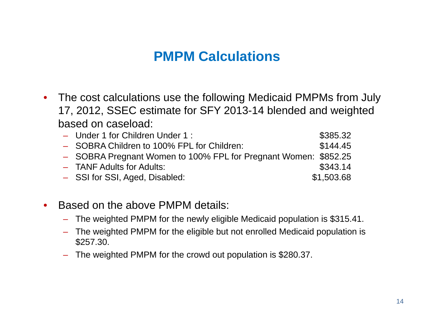#### **PMPM Calculations**

- $\bullet$  The cost calculations use the following Medicaid PMPMs from July 17, 2012, SSEC estimate for SFY 2013-14 blended and weighted based on caseload:
	- downloader 1 for Children Under 1 : \$385.32 – SOBRA Children to 100% FPL for Children:  $$144.45$ – SOBRA Pregnant Women to 100% FPL for Pregnant Women: \$852.25 – TANF Adults for Adults: \$343.14 – SSI for SSI, Aged, Disabled: \$1,503.68
- • Based on the above PMPM details:
	- The weighted PMPM for the newly eligible Medicaid population is \$315.41.
	- $-$  The weighted PMPM for the eligible but not enrolled Medicaid population is \$257.30.
	- The weighted PMPM for the crowd out population is \$280.37.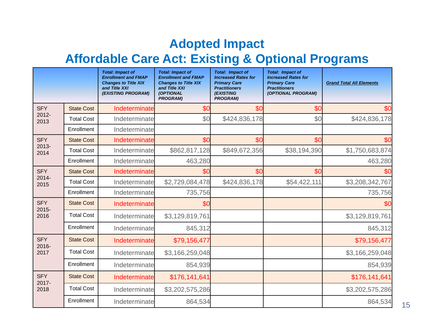#### **Adopted Impact**

#### **Affordable Care Act: Existing & Optional Programs Care**

|                        |                   | <b>Total: Impact of</b><br><b>Enrollment and FMAP</b><br><b>Changes to Title XIX</b><br>and Title XXI<br>(EXISTING PROGRAM) | <b>Total: Impact of</b><br><b>Enrollment and FMAP</b><br><b>Changes to Title XIX</b><br>and Title XXI<br>(OPTIONAL<br><b>PROGRAM)</b> | <b>Total: Impact of</b><br><b>Increased Rates for</b><br><b>Primary Care</b><br><b>Practitioners</b><br><b>(EXISTING</b><br><b>PROGRAM)</b> | <b>Total: Impact of</b><br><b>Increased Rates for</b><br><b>Primary Care</b><br><b>Practitioners</b><br>(OPTIONAL PROGRAM) | <b>Grand Total All Elements</b> |
|------------------------|-------------------|-----------------------------------------------------------------------------------------------------------------------------|---------------------------------------------------------------------------------------------------------------------------------------|---------------------------------------------------------------------------------------------------------------------------------------------|----------------------------------------------------------------------------------------------------------------------------|---------------------------------|
| <b>SFY</b>             | <b>State Cost</b> | Indeterminate                                                                                                               | \$0                                                                                                                                   | \$0                                                                                                                                         | \$0                                                                                                                        | \$0                             |
| $2012 -$<br>2013       | <b>Total Cost</b> | Indeterminate                                                                                                               | \$0                                                                                                                                   | \$424,836,178                                                                                                                               | \$0                                                                                                                        | \$424,836,178                   |
|                        | Enrollment        | Indeterminate                                                                                                               |                                                                                                                                       |                                                                                                                                             |                                                                                                                            |                                 |
| <b>SFY</b>             | <b>State Cost</b> | Indeterminate                                                                                                               | \$0                                                                                                                                   | \$0                                                                                                                                         | \$0                                                                                                                        | \$0                             |
| $2013 -$<br>2014       | <b>Total Cost</b> | Indeterminate                                                                                                               | \$862,817,128                                                                                                                         | \$849,672,356                                                                                                                               | \$38,194,390                                                                                                               | \$1,750,683,874                 |
|                        | Enrollment        | Indeterminate                                                                                                               | 463,280                                                                                                                               |                                                                                                                                             |                                                                                                                            | 463,280                         |
| <b>SFY</b>             | <b>State Cost</b> | Indeterminate                                                                                                               | \$0                                                                                                                                   | \$0                                                                                                                                         | \$0                                                                                                                        | \$Ο                             |
| 2014-<br>2015          | <b>Total Cost</b> | Indeterminate                                                                                                               | \$2,729,084,478                                                                                                                       | \$424,836,178                                                                                                                               | \$54,422,111                                                                                                               | \$3,208,342,767                 |
|                        | Enrollment        | Indeterminate                                                                                                               | 735,756                                                                                                                               |                                                                                                                                             |                                                                                                                            | 735,756                         |
| <b>SFY</b><br>$2015 -$ | <b>State Cost</b> | Indeterminate                                                                                                               | \$0                                                                                                                                   |                                                                                                                                             |                                                                                                                            | \$0                             |
| 2016                   | <b>Total Cost</b> | Indeterminate                                                                                                               | \$3,129,819,761                                                                                                                       |                                                                                                                                             |                                                                                                                            | \$3,129,819,761                 |
|                        | Enrollment        | Indeterminate                                                                                                               | 845,312                                                                                                                               |                                                                                                                                             |                                                                                                                            | 845,312                         |
| <b>SFY</b><br>2016-    | <b>State Cost</b> | Indeterminate                                                                                                               | \$79,156,477                                                                                                                          |                                                                                                                                             |                                                                                                                            | \$79,156,477                    |
| 2017                   | <b>Total Cost</b> | Indeterminate                                                                                                               | \$3,166,259,048                                                                                                                       |                                                                                                                                             |                                                                                                                            | \$3,166,259,048                 |
|                        | Enrollment        | Indeterminate                                                                                                               | 854,939                                                                                                                               |                                                                                                                                             |                                                                                                                            | 854,939                         |
| <b>SFY</b><br>$2017 -$ | <b>State Cost</b> | Indeterminate                                                                                                               | \$176,141,641                                                                                                                         |                                                                                                                                             |                                                                                                                            | \$176,141,641                   |
| 2018                   | <b>Total Cost</b> | Indeterminate                                                                                                               | \$3,202,575,286                                                                                                                       |                                                                                                                                             |                                                                                                                            | \$3,202,575,286                 |
|                        | Enrollment        | Indeterminate                                                                                                               | 864,534                                                                                                                               |                                                                                                                                             |                                                                                                                            | 864,534                         |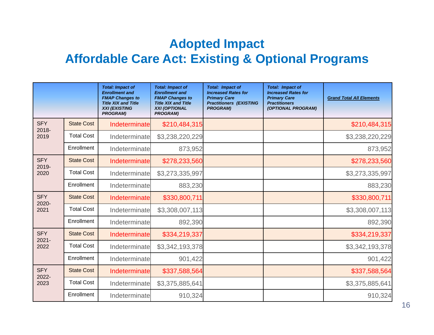#### **Adopted Impact Affordable Care Act: Existing & Optional Programs Care**

|                        |                   | <b>Total: Impact of</b><br><b>Enrollment and</b><br><b>FMAP Changes to</b><br><b>Title XIX and Title</b><br><b>XXI (EXISTING)</b><br><b>PROGRAM)</b> | <b>Total: Impact of</b><br><b>Enrollment and</b><br><b>FMAP Changes to</b><br><b>Title XIX and Title</b><br><b>XXI (OPTIONAL</b><br><b>PROGRAM)</b> | <b>Total: Impact of</b><br><b>Increased Rates for</b><br><b>Primary Care</b><br><b>Practitioners (EXISTING</b><br><b>PROGRAM)</b> | <b>Total: Impact of</b><br><b>Increased Rates for</b><br><b>Primary Care</b><br><b>Practitioners</b><br>(OPTIONAL PROGRAM) | <b>Grand Total All Elements</b> |
|------------------------|-------------------|------------------------------------------------------------------------------------------------------------------------------------------------------|-----------------------------------------------------------------------------------------------------------------------------------------------------|-----------------------------------------------------------------------------------------------------------------------------------|----------------------------------------------------------------------------------------------------------------------------|---------------------------------|
| <b>SFY</b><br>2018-    | <b>State Cost</b> | Indeterminate                                                                                                                                        | \$210,484,315                                                                                                                                       |                                                                                                                                   |                                                                                                                            | \$210,484,315                   |
| 2019                   | <b>Total Cost</b> | Indeterminate                                                                                                                                        | \$3,238,220,229                                                                                                                                     |                                                                                                                                   |                                                                                                                            | \$3,238,220,229                 |
|                        | Enrollment        | Indeterminate                                                                                                                                        | 873,952                                                                                                                                             |                                                                                                                                   |                                                                                                                            | 873,952                         |
| <b>SFY</b><br>2019-    | <b>State Cost</b> | Indeterminate                                                                                                                                        | \$278,233,560                                                                                                                                       |                                                                                                                                   |                                                                                                                            | \$278,233,560                   |
| 2020                   | <b>Total Cost</b> | Indeterminate                                                                                                                                        | \$3,273,335,997                                                                                                                                     |                                                                                                                                   |                                                                                                                            | \$3,273,335,997                 |
|                        | Enrollment        | Indeterminate                                                                                                                                        | 883,230                                                                                                                                             |                                                                                                                                   |                                                                                                                            | 883,230                         |
| <b>SFY</b><br>2020-    | <b>State Cost</b> | Indeterminate                                                                                                                                        | \$330,800,711                                                                                                                                       |                                                                                                                                   |                                                                                                                            | \$330,800,711                   |
| 2021                   | <b>Total Cost</b> | Indeterminate                                                                                                                                        | \$3,308,007,113                                                                                                                                     |                                                                                                                                   |                                                                                                                            | \$3,308,007,113                 |
|                        | Enrollment        | Indeterminate                                                                                                                                        | 892,390                                                                                                                                             |                                                                                                                                   |                                                                                                                            | 892,390                         |
| <b>SFY</b><br>$2021 -$ | <b>State Cost</b> | Indeterminate                                                                                                                                        | \$334,219,337                                                                                                                                       |                                                                                                                                   |                                                                                                                            | \$334,219,337                   |
| 2022                   | <b>Total Cost</b> | Indeterminate                                                                                                                                        | \$3,342,193,378                                                                                                                                     |                                                                                                                                   |                                                                                                                            | \$3,342,193,378                 |
|                        | Enrollment        | Indeterminate                                                                                                                                        | 901,422                                                                                                                                             |                                                                                                                                   |                                                                                                                            | 901,422                         |
| <b>SFY</b>             | <b>State Cost</b> | Indeterminate                                                                                                                                        | \$337,588,564                                                                                                                                       |                                                                                                                                   |                                                                                                                            | \$337,588,564                   |
| 2022-<br>2023          | <b>Total Cost</b> | Indeterminate                                                                                                                                        | \$3,375,885,641                                                                                                                                     |                                                                                                                                   |                                                                                                                            | \$3,375,885,641                 |
|                        | Enrollment        | Indeterminate                                                                                                                                        | 910,324                                                                                                                                             |                                                                                                                                   |                                                                                                                            | 910,324                         |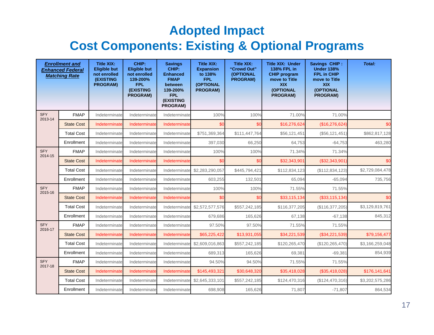#### **Adopted Impact Cost Components: Existing & Optional Programs**

|                       | <b>Enrollment and</b><br><b>Enhanced Federal</b><br><b>Matching Rate</b> | <b>Title XIX:</b><br><b>Eligible but</b><br>not enrolled<br><b>(EXISTING</b><br><b>PROGRAM)</b> | CHIP:<br><b>Eligible but</b><br>not enrolled<br>139-200%<br><b>FPL</b><br>(EXISTING<br>PROGRAM) | <b>Savings</b><br>CHIP:<br><b>Enhanced</b><br><b>FMAP</b><br>between<br>139-200%<br><b>FPL</b><br>(EXISTING<br>PROGRAM) | <b>Title XIX:</b><br><b>Expansion</b><br>to 138%<br><b>FPL</b><br>(OPTIONAL<br><b>PROGRAM)</b> | <b>Title XIX:</b><br>"Crowd Out"<br>(OPTIONAL<br><b>PROGRAM)</b> | <b>Title XIX: Under</b><br>138% FPL in<br><b>CHIP program</b><br>move to Title<br><b>XIX</b><br>(OPTIONAL<br>PROGRAM) | Savings CHIP:<br><b>Under 138%</b><br><b>FPL in CHIP</b><br>move to Title<br><b>XIX</b><br>(OPTIONAL<br>PROGRAM) | Total:          |
|-----------------------|--------------------------------------------------------------------------|-------------------------------------------------------------------------------------------------|-------------------------------------------------------------------------------------------------|-------------------------------------------------------------------------------------------------------------------------|------------------------------------------------------------------------------------------------|------------------------------------------------------------------|-----------------------------------------------------------------------------------------------------------------------|------------------------------------------------------------------------------------------------------------------|-----------------|
| <b>SFY</b><br>2013-14 | <b>FMAP</b>                                                              | Indeterminate                                                                                   | Indeterminate                                                                                   | Indeterminate                                                                                                           | 100%                                                                                           | 100%                                                             | 71.00%                                                                                                                | 71.00%                                                                                                           |                 |
|                       | <b>State Cost</b>                                                        | Indeterminate                                                                                   | Indeterminate                                                                                   | Indeterminate                                                                                                           | \$0                                                                                            | \$0                                                              | \$16,276,624                                                                                                          | (\$16,276,624)                                                                                                   | \$0             |
|                       | <b>Total Cost</b>                                                        | Indeterminate                                                                                   | Indeterminate                                                                                   | Indeterminate                                                                                                           | \$751,369,364                                                                                  | \$111,447,764                                                    | \$56,121,451                                                                                                          | (\$56, 121, 451)                                                                                                 | \$862,817,128   |
|                       | Enrollment                                                               | Indeterminate                                                                                   | Indeterminate                                                                                   | Indeterminate                                                                                                           | 397,030                                                                                        | 66,250                                                           | 64,753                                                                                                                | $-64,753$                                                                                                        | 463,280         |
| <b>SFY</b><br>2014-15 | <b>FMAP</b>                                                              | Indeterminate                                                                                   | Indeterminate                                                                                   | Indeterminate                                                                                                           | 100%                                                                                           | 100%                                                             | 71.34%                                                                                                                | 71.34%                                                                                                           |                 |
|                       | <b>State Cost</b>                                                        | Indeterminate                                                                                   | Indeterminate                                                                                   | Indeterminate                                                                                                           | \$0                                                                                            | \$0                                                              | \$32,343,901                                                                                                          | (\$32,343,901)                                                                                                   | \$0             |
|                       | <b>Total Cost</b>                                                        | Indeterminate                                                                                   | Indeterminate                                                                                   | Indeterminate                                                                                                           | \$2,283,290,057                                                                                | \$445,794,421                                                    | \$112,834,123                                                                                                         | (\$112,834,123)                                                                                                  | \$2,729,084,478 |
|                       | Enrollment                                                               | Indeterminate                                                                                   | Indeterminate                                                                                   | Indeterminate                                                                                                           | 603,255                                                                                        | 132,501                                                          | 65,094                                                                                                                | $-65,094$                                                                                                        | 735,756         |
| <b>SFY</b><br>2015-16 | <b>FMAP</b>                                                              | Indeterminate                                                                                   | Indeterminate                                                                                   | Indeterminate                                                                                                           | 100%                                                                                           | 100%                                                             | 71.55%                                                                                                                | 71.55%                                                                                                           |                 |
|                       | <b>State Cost</b>                                                        | Indeterminate                                                                                   | Indeterminate                                                                                   | Indeterminate                                                                                                           | \$0                                                                                            | \$0                                                              | \$33,115,134                                                                                                          | (\$33,115,134)                                                                                                   | \$0             |
|                       | <b>Total Cost</b>                                                        | Indeterminate                                                                                   | Indeterminate                                                                                   | Indeterminate                                                                                                           | \$2,572,577,576                                                                                | \$557,242,185                                                    | \$116,377,205                                                                                                         | (\$116,377,205)                                                                                                  | \$3,129,819,761 |
|                       | Enrollment                                                               | Indeterminate                                                                                   | Indeterminate                                                                                   | Indeterminate                                                                                                           | 679,686                                                                                        | 165,626                                                          | 67,138                                                                                                                | $-67,138$                                                                                                        | 845,312         |
| <b>SFY</b><br>2016-17 | <b>FMAP</b>                                                              | Indeterminate                                                                                   | Indeterminate                                                                                   | Indeterminate                                                                                                           | 97.50%                                                                                         | 97.50%                                                           | 71.55%                                                                                                                | 71.55%                                                                                                           |                 |
|                       | <b>State Cost</b>                                                        | Indeterminate                                                                                   | Indeterminate                                                                                   | Indeterminate                                                                                                           | \$65,225,422                                                                                   | \$13,931,055                                                     | \$34,221,539                                                                                                          | (\$34,221,539)                                                                                                   | \$79,156,477    |
|                       | <b>Total Cost</b>                                                        | Indeterminate                                                                                   | Indeterminate                                                                                   | Indeterminate                                                                                                           | \$2,609,016,863                                                                                | \$557,242,185                                                    | \$120,265,470                                                                                                         | (\$120, 265, 470)                                                                                                | \$3,166,259,048 |
|                       | Enrollment                                                               | Indeterminate                                                                                   | Indeterminate                                                                                   | Indeterminate                                                                                                           | 689,313                                                                                        | 165,626                                                          | 69,381                                                                                                                | $-69,381$                                                                                                        | 854,939         |
| <b>SFY</b><br>2017-18 | <b>FMAP</b>                                                              | Indeterminate                                                                                   | Indeterminate                                                                                   | Indeterminate                                                                                                           | 94.50%                                                                                         | 94.50%                                                           | 71.55%                                                                                                                | 71.55%                                                                                                           |                 |
|                       | <b>State Cost</b>                                                        | Indeterminate                                                                                   | Indeterminate                                                                                   | Indeterminate                                                                                                           | \$145,493,321                                                                                  | \$30,648,320                                                     | \$35,418,028                                                                                                          | (\$35,418,028)                                                                                                   | \$176,141,641   |
|                       | <b>Total Cost</b>                                                        | Indeterminate                                                                                   | Indeterminate                                                                                   | Indeterminate                                                                                                           | \$2,645,333,101                                                                                | \$557,242,185                                                    | \$124,470,316                                                                                                         | (\$124,470,316)                                                                                                  | \$3,202,575,286 |
|                       | Enrollment                                                               | Indeterminate                                                                                   | Indeterminate                                                                                   | Indeterminate                                                                                                           | 698,908                                                                                        | 165,626                                                          | 71,807                                                                                                                | $-71,807$                                                                                                        | 864,534         |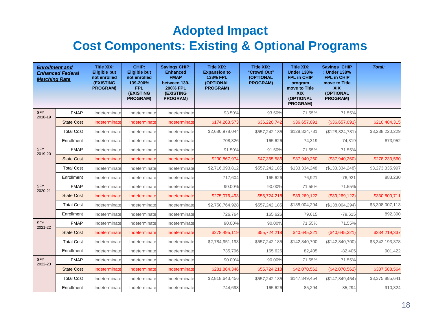#### **Adopted Impact Cost Components: Existing & Optional Programs**

| <b>Enrollment and</b><br><b>Matching Rate</b> | <b>Enhanced Federal</b> | <b>Title XIX:</b><br><b>Eligible but</b><br>not enrolled<br><b>(EXISTING</b><br><b>PROGRAM)</b> | CHIP:<br><b>Eligible but</b><br>not enrolled<br>139-200%<br><b>FPL</b><br>(EXISTING<br><b>PROGRAM)</b> | <b>Savings CHIP:</b><br><b>Enhanced</b><br><b>FMAP</b><br>between 139-<br><b>200% FPL</b><br>(EXISTING<br><b>PROGRAM)</b> | <b>Title XIX:</b><br><b>Expansion to</b><br><b>138% FPL</b><br><b>(OPTIONAL</b><br><b>PROGRAM)</b> | <b>Title XIX:</b><br>"Crowd Out"<br>(OPTIONAL<br><b>PROGRAM)</b> | <b>Title XIX:</b><br><b>Under 138%</b><br><b>FPL in CHIP</b><br>program<br>move to Title<br><b>XIX</b><br>(OPTIONAL<br><b>PROGRAM)</b> | <b>Savings CHIP</b><br>: Under 138%<br>FPL in CHIP<br>move to Title<br><b>XIX</b><br>(OPTIONAL<br><b>PROGRAM)</b> | Total:          |
|-----------------------------------------------|-------------------------|-------------------------------------------------------------------------------------------------|--------------------------------------------------------------------------------------------------------|---------------------------------------------------------------------------------------------------------------------------|----------------------------------------------------------------------------------------------------|------------------------------------------------------------------|----------------------------------------------------------------------------------------------------------------------------------------|-------------------------------------------------------------------------------------------------------------------|-----------------|
| <b>SFY</b><br>2018-19                         | <b>FMAP</b>             | Indeterminate                                                                                   | Indeterminate                                                                                          | Indeterminate                                                                                                             | 93.50%                                                                                             | 93.50%                                                           | 71.55%                                                                                                                                 | 71.55%                                                                                                            |                 |
|                                               | <b>State Cost</b>       | Indeterminate                                                                                   | Indeterminate                                                                                          | Indeterminate                                                                                                             | \$174,263,573                                                                                      | \$36,220,742                                                     | \$36,657,091                                                                                                                           | (\$36,657,091)                                                                                                    | \$210,484,315   |
|                                               | <b>Total Cost</b>       | Indeterminate                                                                                   | Indeterminate                                                                                          | Indeterminate                                                                                                             | \$2,680,978,044                                                                                    | \$557,242,185                                                    | \$128,824,781                                                                                                                          | (\$128,824,781)                                                                                                   | \$3,238,220,229 |
|                                               | Enrollment              | Indeterminate                                                                                   | Indeterminate                                                                                          | Indeterminate                                                                                                             | 708.326                                                                                            | 165.626                                                          | 74,319                                                                                                                                 | $-74.319$                                                                                                         | 873,952         |
| <b>SFY</b><br>2019-20                         | <b>FMAP</b>             | Indeterminate                                                                                   | Indeterminate                                                                                          | Indeterminate                                                                                                             | 91.50%                                                                                             | 91.50%                                                           | 71.55%                                                                                                                                 | 71.55%                                                                                                            |                 |
|                                               | <b>State Cost</b>       | Indeterminate                                                                                   | Indeterminate                                                                                          | Indeterminate                                                                                                             | \$230,867,974                                                                                      | \$47,365,586                                                     | \$37,940,260                                                                                                                           | (\$37,940,260)                                                                                                    | \$278,233,560   |
|                                               | <b>Total Cost</b>       | Indeterminate                                                                                   | Indeterminate                                                                                          | Indeterminate                                                                                                             | \$2,716,093,812                                                                                    | \$557,242,185                                                    | \$133,334,248                                                                                                                          | (\$133,334,248)                                                                                                   | \$3,273,335,997 |
|                                               | Enrollment              | Indeterminate                                                                                   | Indeterminate                                                                                          | Indeterminate                                                                                                             | 717,604                                                                                            | 165,626                                                          | 76,921                                                                                                                                 | $-76,921$                                                                                                         | 883,230         |
| <b>SFY</b><br>2020-21                         | <b>FMAP</b>             | Indeterminate                                                                                   | Indeterminate                                                                                          | Indeterminate                                                                                                             | 90.00%                                                                                             | 90.00%                                                           | 71.55%                                                                                                                                 | 71.55%                                                                                                            |                 |
|                                               | <b>State Cost</b>       | Indeterminate                                                                                   | Indeterminate                                                                                          | Indeterminate                                                                                                             | \$275,076,493                                                                                      | \$55,724,218                                                     | \$39,269,122                                                                                                                           | (\$39,269,122)                                                                                                    | \$330,800,711   |
|                                               | <b>Total Cost</b>       | Indeterminate                                                                                   | Indeterminate                                                                                          | Indeterminate                                                                                                             | \$2,750,764,928                                                                                    | \$557,242,185                                                    | \$138,004,294                                                                                                                          | (\$138,004,294)                                                                                                   | \$3,308,007,113 |
|                                               | Enrollment              | Indeterminate                                                                                   | Indeterminate                                                                                          | Indeterminate                                                                                                             | 726,764                                                                                            | 165,626                                                          | 79,615                                                                                                                                 | $-79,615$                                                                                                         | 892,390         |
| <b>SFY</b><br>2021-22                         | <b>FMAP</b>             | Indeterminate                                                                                   | Indeterminate                                                                                          | Indeterminate                                                                                                             | 90.00%                                                                                             | 90.00%                                                           | 71.55%                                                                                                                                 | 71.55%                                                                                                            |                 |
|                                               | <b>State Cost</b>       | Indeterminate                                                                                   | Indeterminate                                                                                          | Indeterminate                                                                                                             | \$278,495,119                                                                                      | \$55,724,218                                                     | \$40,645,321                                                                                                                           | (\$40,645,321)                                                                                                    | \$334,219,337   |
|                                               | <b>Total Cost</b>       | Indeterminate                                                                                   | Indeterminate                                                                                          | Indeterminate                                                                                                             | \$2,784,951,193                                                                                    | \$557,242,185                                                    | \$142,840,700                                                                                                                          | (\$142,840,700)                                                                                                   | \$3,342,193,378 |
|                                               | Enrollment              | Indeterminate                                                                                   | Indeterminate                                                                                          | Indeterminate                                                                                                             | 735,796                                                                                            | 165,626                                                          | 82,405                                                                                                                                 | $-82,405$                                                                                                         | 901,422         |
| <b>SFY</b><br>2022-23                         | <b>FMAP</b>             | Indeterminate                                                                                   | Indeterminate                                                                                          | Indeterminate                                                                                                             | 90.00%                                                                                             | 90.00%                                                           | 71.55%                                                                                                                                 | 71.55%                                                                                                            |                 |
|                                               | <b>State Cost</b>       | Indeterminate                                                                                   | Indeterminate                                                                                          | Indeterminate                                                                                                             | \$281,864,346                                                                                      | \$55,724,218                                                     | \$42,070,562                                                                                                                           | (\$42,070,562)                                                                                                    | \$337,588,564   |
|                                               | <b>Total Cost</b>       | Indeterminate                                                                                   | Indeterminate                                                                                          | Indeterminate                                                                                                             | \$2,818,643,456                                                                                    | \$557,242,185                                                    | \$147,849,454                                                                                                                          | (\$147,849,454)                                                                                                   | \$3,375,885,641 |
|                                               | Enrollment              | Indeterminate                                                                                   | Indeterminate                                                                                          | Indeterminate                                                                                                             | 744,698                                                                                            | 165,626                                                          | 85,294                                                                                                                                 | $-85,294$                                                                                                         | 910,324         |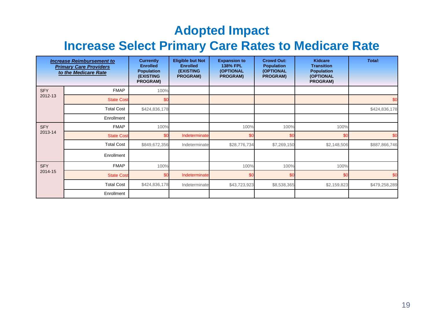#### **Adopted Impact**

#### **Increase Select Primary Care Rates to Medicare Rate**

| <b>Increase Reimbursement to</b><br><b>Primary Care Providers</b><br>to the Medicare Rate |                   | <b>Currently</b><br><b>Enrolled</b><br><b>Population</b><br><b>(EXISTING</b><br><b>PROGRAM)</b> | <b>Eligible but Not</b><br><b>Enrolled</b><br><b>(EXISTING</b><br><b>PROGRAM)</b> | <b>Expansion to</b><br><b>138% FPL</b><br>(OPTIONAL<br><b>PROGRAM)</b> | <b>Crowd Out:</b><br><b>Population</b><br>(OPTIONAL<br><b>PROGRAM)</b> | <b>Kidcare</b><br><b>Transition</b><br><b>Population</b><br>(OPTIONAL<br>PROGRAM) | Total:        |
|-------------------------------------------------------------------------------------------|-------------------|-------------------------------------------------------------------------------------------------|-----------------------------------------------------------------------------------|------------------------------------------------------------------------|------------------------------------------------------------------------|-----------------------------------------------------------------------------------|---------------|
| <b>SFY</b>                                                                                | <b>FMAP</b>       | 100%                                                                                            |                                                                                   |                                                                        |                                                                        |                                                                                   |               |
| 2012-13                                                                                   | <b>State Cost</b> | \$ <sub>6</sub>                                                                                 |                                                                                   |                                                                        |                                                                        |                                                                                   | \$0           |
|                                                                                           | <b>Total Cost</b> | \$424,836,178                                                                                   |                                                                                   |                                                                        |                                                                        |                                                                                   | \$424,836,178 |
|                                                                                           | Enrollment        |                                                                                                 |                                                                                   |                                                                        |                                                                        |                                                                                   |               |
| <b>SFY</b>                                                                                | <b>FMAP</b>       | 100%                                                                                            |                                                                                   | 100%                                                                   | 100%                                                                   | 100%                                                                              |               |
| 2013-14                                                                                   | <b>State Cost</b> | \$0                                                                                             | Indeterminate                                                                     | \$0                                                                    | \$С                                                                    | \$0                                                                               | \$0           |
|                                                                                           | <b>Total Cost</b> | \$849,672,356                                                                                   | Indeterminate                                                                     | \$28,776,734                                                           | \$7,269,150                                                            | \$2,148,506                                                                       | \$887,866,746 |
|                                                                                           | Enrollment        |                                                                                                 |                                                                                   |                                                                        |                                                                        |                                                                                   |               |
| <b>SFY</b>                                                                                | <b>FMAP</b>       | 100%                                                                                            |                                                                                   | 100%                                                                   | 100%                                                                   | 100%                                                                              |               |
| 2014-15                                                                                   | <b>State Cost</b> | \$C                                                                                             | Indeterminate                                                                     | \$0                                                                    | \$0                                                                    | \$0                                                                               | \$0           |
|                                                                                           | <b>Total Cost</b> | \$424,836,178                                                                                   | Indeterminate                                                                     | \$43,723,923                                                           | \$8,538,365                                                            | \$2,159,823                                                                       | \$479,258,289 |
|                                                                                           | Enrollment        |                                                                                                 |                                                                                   |                                                                        |                                                                        |                                                                                   |               |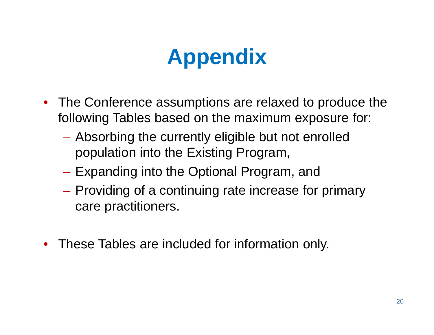# **Appendix**

- $\bullet$  The Conference assumptions are relaxed to produce the following Tables based on the maximum exposure for:
	- – Absorbing the currently eligible but not enrolled population into the Existing Program,
	- Expanding into the Optional Program, and
	- Providing of a continuing rate increase for primary care practitioners.
- These Tables are included for information only.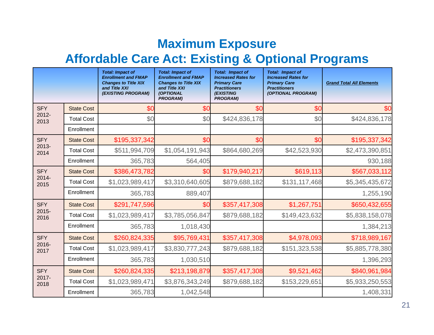#### **Maximum Exposure**

#### **Affordable Care Act: Existing & Optional Programs Care**

|                  |                   | <b>Total: Impact of</b><br><b>Enrollment and FMAP</b><br><b>Changes to Title XIX</b><br>and Title XXI<br>(EXISTING PROGRAM) | <b>Total: Impact of</b><br><b>Enrollment and FMAP</b><br><b>Changes to Title XIX</b><br>and Title XXI<br>(OPTIONAL<br><b>PROGRAM)</b> | <b>Total: Impact of</b><br><b>Increased Rates for</b><br><b>Primary Care</b><br><b>Practitioners</b><br><b>(EXISTING</b><br><b>PROGRAM)</b> | <b>Total: Impact of</b><br><b>Increased Rates for</b><br><b>Primary Care</b><br><b>Practitioners</b><br>(OPTIONAL PROGRAM) | <b>Grand Total All Elements</b> |
|------------------|-------------------|-----------------------------------------------------------------------------------------------------------------------------|---------------------------------------------------------------------------------------------------------------------------------------|---------------------------------------------------------------------------------------------------------------------------------------------|----------------------------------------------------------------------------------------------------------------------------|---------------------------------|
| <b>SFY</b>       | <b>State Cost</b> | \$0                                                                                                                         | \$0                                                                                                                                   | \$0                                                                                                                                         | \$0                                                                                                                        | \$0                             |
| 2012-<br>2013    | <b>Total Cost</b> | \$0                                                                                                                         | \$0                                                                                                                                   | \$424,836,178                                                                                                                               | \$0                                                                                                                        | \$424,836,178                   |
|                  | Enrollment        |                                                                                                                             |                                                                                                                                       |                                                                                                                                             |                                                                                                                            |                                 |
| <b>SFY</b>       | <b>State Cost</b> | \$195,337,342                                                                                                               | \$0                                                                                                                                   | \$0                                                                                                                                         | \$0                                                                                                                        | \$195,337,342                   |
| 2013-<br>2014    | <b>Total Cost</b> | \$511,994,709                                                                                                               | \$1,054,191,943                                                                                                                       | \$864,680,269                                                                                                                               | \$42,523,930                                                                                                               | \$2,473,390,851                 |
|                  | Enrollment        | 365,783                                                                                                                     | 564,405                                                                                                                               |                                                                                                                                             |                                                                                                                            | 930,188                         |
| <b>SFY</b>       | <b>State Cost</b> | \$386,473,782                                                                                                               | \$0                                                                                                                                   | \$179,940,217                                                                                                                               | \$619,113                                                                                                                  | \$567,033,112                   |
| 2014-<br>2015    | <b>Total Cost</b> | \$1,023,989,417                                                                                                             | \$3,310,640,605                                                                                                                       | \$879,688,182                                                                                                                               | \$131,117,468                                                                                                              | \$5,345,435,672                 |
|                  | Enrollment        | 365,783                                                                                                                     | 889,407                                                                                                                               |                                                                                                                                             |                                                                                                                            | 1,255,190                       |
| <b>SFY</b>       | <b>State Cost</b> | \$291,747,596                                                                                                               | \$0                                                                                                                                   | \$357,417,308                                                                                                                               | \$1,267,751                                                                                                                | \$650,432,655                   |
| $2015 -$<br>2016 | <b>Total Cost</b> | \$1,023,989,417                                                                                                             | \$3,785,056,847                                                                                                                       | \$879,688,182                                                                                                                               | \$149,423,632                                                                                                              | \$5,838,158,078                 |
|                  | Enrollment        | 365,783                                                                                                                     | 1,018,430                                                                                                                             |                                                                                                                                             |                                                                                                                            | 1,384,213                       |
| <b>SFY</b>       | <b>State Cost</b> | \$260,824,335                                                                                                               | \$95,769,431                                                                                                                          | \$357,417,308                                                                                                                               | \$4,978,093                                                                                                                | \$718,989,167                   |
| 2016-<br>2017    | <b>Total Cost</b> | \$1,023,989,417                                                                                                             | \$3,830,777,243                                                                                                                       | \$879,688,182                                                                                                                               | \$151,323,538                                                                                                              | \$5,885,778,380                 |
|                  | Enrollment        | 365,783                                                                                                                     | 1,030,510                                                                                                                             |                                                                                                                                             |                                                                                                                            | 1,396,293                       |
| <b>SFY</b>       | <b>State Cost</b> | \$260,824,335                                                                                                               | \$213,198,879                                                                                                                         | \$357,417,308                                                                                                                               | \$9,521,462                                                                                                                | \$840,961,984                   |
| 2017-<br>2018    | <b>Total Cost</b> | \$1,023,989,471                                                                                                             | \$3,876,343,249                                                                                                                       | \$879,688,182                                                                                                                               | \$153,229,651                                                                                                              | \$5,933,250,553                 |
|                  | Enrollment        | 365,783                                                                                                                     | 1,042,548                                                                                                                             |                                                                                                                                             |                                                                                                                            | 1,408,331                       |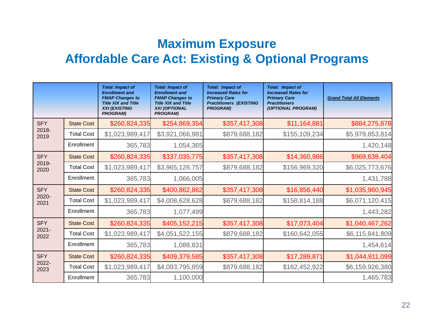#### **Maximum Exposure Affordable Care Act: Existing & Optional Programs Care**

|                  |                   | <b>Total: Impact of</b><br><b>Enrollment and</b><br><b>FMAP Changes to</b><br><b>Title XIX and Title</b><br><b>XXI (EXISTING</b><br><b>PROGRAM)</b> | <b>Total: Impact of</b><br><b>Enrollment and</b><br><b>FMAP Changes to</b><br><b>Title XIX and Title</b><br><b>XXI (OPTIONAL</b><br><b>PROGRAM)</b> | <b>Total: Impact of</b><br><b>Increased Rates for</b><br><b>Primary Care</b><br><b>Practitioners (EXISTING</b><br><b>PROGRAM)</b> | <b>Total: Impact of</b><br><b>Increased Rates for</b><br><b>Primary Care</b><br><b>Practitioners</b><br>(OPTIONAL PROGRAM) | <b>Grand Total All Elements</b> |
|------------------|-------------------|-----------------------------------------------------------------------------------------------------------------------------------------------------|-----------------------------------------------------------------------------------------------------------------------------------------------------|-----------------------------------------------------------------------------------------------------------------------------------|----------------------------------------------------------------------------------------------------------------------------|---------------------------------|
| <b>SFY</b>       | <b>State Cost</b> | \$260,824,335                                                                                                                                       | \$254,869,354                                                                                                                                       | \$357,417,308                                                                                                                     | \$11,164,881                                                                                                               | \$884,275,878                   |
| 2018-<br>2019    | <b>Total Cost</b> | \$1,023,989,417                                                                                                                                     | \$3,921,066,981                                                                                                                                     | \$879,688,182                                                                                                                     | \$155,109,234                                                                                                              | \$5,979,853,814                 |
|                  | Enrollment        | 365,783                                                                                                                                             | 1,054,365                                                                                                                                           |                                                                                                                                   |                                                                                                                            | 1,420,148                       |
| <b>SFY</b>       | <b>State Cost</b> | \$260,824,335                                                                                                                                       | \$337,035,775                                                                                                                                       | \$357,417,308                                                                                                                     | \$14,360,986                                                                                                               | \$969,638,404                   |
| 2019-<br>2020    | <b>Total Cost</b> | \$1,023,989,417                                                                                                                                     | \$3,965,126,757                                                                                                                                     | \$879,688,182                                                                                                                     | \$156,969,320                                                                                                              | \$6,025,773,676                 |
|                  | Enrollment        | 365,783                                                                                                                                             | 1,066,005                                                                                                                                           |                                                                                                                                   |                                                                                                                            | 1,431,788                       |
| <b>SFY</b>       | <b>State Cost</b> | \$260,824,335                                                                                                                                       | \$400,862,862                                                                                                                                       | \$357,417,308                                                                                                                     | \$16,856,440                                                                                                               | \$1,035,960,945                 |
| 2020-<br>2021    | <b>Total Cost</b> | \$1,023,989,417                                                                                                                                     | \$4,008,628,628                                                                                                                                     | \$879,688,182                                                                                                                     | \$158,814,188                                                                                                              | \$6,071,120,415                 |
|                  | Enrollment        | 365,783                                                                                                                                             | 1,077,499                                                                                                                                           |                                                                                                                                   |                                                                                                                            | 1,443,282                       |
| <b>SFY</b>       | <b>State Cost</b> | \$260,824,335                                                                                                                                       | \$405,152,215                                                                                                                                       | \$357,417,308                                                                                                                     | \$17,073,404                                                                                                               | \$1,040,467,262                 |
| $2021 -$<br>2022 | <b>Total Cost</b> | \$1,023,989,417                                                                                                                                     | \$4,051,522,155                                                                                                                                     | \$879,688,182                                                                                                                     | \$160,642,055                                                                                                              | \$6,115,841,809                 |
|                  | Enrollment        | 365,783                                                                                                                                             | 1,088,831                                                                                                                                           |                                                                                                                                   |                                                                                                                            | 1,454,614                       |
| <b>SFY</b>       | <b>State Cost</b> | \$260,824,335                                                                                                                                       | \$409,379,585                                                                                                                                       | \$357,417,308                                                                                                                     | \$17,289,871                                                                                                               | \$1,044,911,099                 |
| 2022-<br>2023    | <b>Total Cost</b> | \$1,023,989,417                                                                                                                                     | \$4,093,795,859                                                                                                                                     | \$879,688,182                                                                                                                     | \$162,452,922                                                                                                              | \$6,159,926,380                 |
|                  | Enrollment        | 365,783                                                                                                                                             | 1,100,000                                                                                                                                           |                                                                                                                                   |                                                                                                                            | 1,465,783                       |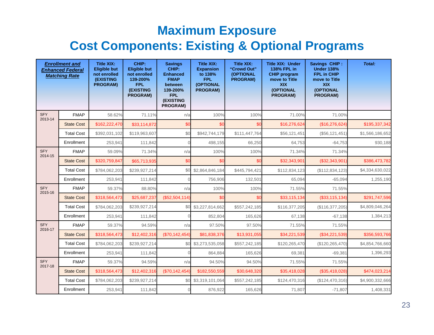#### **Maximum Exposure Cost Components: Existing & Optional Programs**

|                       | <b>Enrollment and</b><br><b>Enhanced Federal</b><br><b>Matching Rate</b> | <b>Title XIX:</b><br><b>Eligible but</b><br>not enrolled<br><b>(EXISTING</b><br><b>PROGRAM)</b> | CHIP:<br><b>Eligible but</b><br>not enrolled<br>139-200%<br><b>FPL</b><br><b>(EXISTING</b><br><b>PROGRAM)</b> | <b>Savings</b><br>CHIP:<br><b>Enhanced</b><br><b>FMAP</b><br>between<br>139-200%<br><b>FPL</b><br>(EXISTING<br>PROGRAM) | <b>Title XIX:</b><br><b>Expansion</b><br>to 138%<br><b>FPL</b><br>(OPTIONAL<br>PROGRAM) | <b>Title XIX:</b><br>"Crowd Out"<br>(OPTIONAL<br><b>PROGRAM)</b> | <b>Title XIX: Under</b><br>138% FPL in<br><b>CHIP program</b><br>move to Title<br><b>XIX</b><br>(OPTIONAL<br><b>PROGRAM)</b> | Savings CHIP:<br><b>Under 138%</b><br><b>FPL in CHIP</b><br>move to Title<br><b>XIX</b><br>(OPTIONAL<br>PROGRAM) | Total:          |
|-----------------------|--------------------------------------------------------------------------|-------------------------------------------------------------------------------------------------|---------------------------------------------------------------------------------------------------------------|-------------------------------------------------------------------------------------------------------------------------|-----------------------------------------------------------------------------------------|------------------------------------------------------------------|------------------------------------------------------------------------------------------------------------------------------|------------------------------------------------------------------------------------------------------------------|-----------------|
| <b>SFY</b>            | <b>FMAP</b>                                                              | 58.62%                                                                                          | 71.11%                                                                                                        | n/a                                                                                                                     | 100%                                                                                    | 100%                                                             | 71.00%                                                                                                                       | 71.00%                                                                                                           |                 |
| 2013-14               | <b>State Cost</b>                                                        | \$162,222,470                                                                                   | \$33,114,872                                                                                                  | \$0                                                                                                                     | \$0                                                                                     | \$0                                                              | \$16,276,624                                                                                                                 | (\$16,276,624)                                                                                                   | \$195,337,342   |
|                       | <b>Total Cost</b>                                                        | \$392,031,102                                                                                   | \$119,963,607                                                                                                 | \$0                                                                                                                     | \$942.744.179                                                                           | \$111,447,764                                                    | \$56,121,451                                                                                                                 | (\$56, 121, 451)                                                                                                 | \$1,566,186,652 |
|                       | Enrollment                                                               | 253.941                                                                                         | 111.842                                                                                                       |                                                                                                                         | 498.155                                                                                 | 66.250                                                           | 64.753                                                                                                                       | $-64.753$                                                                                                        | 930,188         |
| <b>SFY</b><br>2014-15 | <b>FMAP</b>                                                              | 59.09%                                                                                          | 71.34%                                                                                                        | n/a                                                                                                                     | 100%                                                                                    | 100%                                                             | 71.34%                                                                                                                       | 71.34%                                                                                                           |                 |
|                       | <b>State Cost</b>                                                        | \$320,759,847                                                                                   | \$65,713,935                                                                                                  | \$0                                                                                                                     | \$0                                                                                     | \$0                                                              | \$32,343,901                                                                                                                 | (\$32,343,901)                                                                                                   | \$386,473,782   |
|                       | <b>Total Cost</b>                                                        | \$784,062,203                                                                                   | \$239,927,214                                                                                                 | \$0                                                                                                                     | \$2,864,846,184                                                                         | \$445,794,421                                                    | \$112,834,123                                                                                                                | (\$112,834,123)                                                                                                  | \$4,334,630,022 |
|                       | Enrollment                                                               | 253,941                                                                                         | 111,842                                                                                                       |                                                                                                                         | 756,906                                                                                 | 132,501                                                          | 65,094                                                                                                                       | $-65,094$                                                                                                        | 1,255,190       |
| <b>SFY</b><br>2015-16 | <b>FMAP</b>                                                              | 59.37%                                                                                          | 88.80%                                                                                                        | n/a                                                                                                                     | 100%                                                                                    | 100%                                                             | 71.55%                                                                                                                       | 71.55%                                                                                                           |                 |
|                       | <b>State Cost</b>                                                        | \$318,564,473                                                                                   | \$25,687,237                                                                                                  | (\$52,504,114)                                                                                                          | \$0                                                                                     | \$0                                                              | \$33,115,134                                                                                                                 | (\$33, 115, 134)                                                                                                 | \$291,747,596   |
|                       | <b>Total Cost</b>                                                        | \$784,062,203                                                                                   | \$239,927,214                                                                                                 | \$0                                                                                                                     | \$3,227,814,662                                                                         | \$557,242,185                                                    | \$116,377,205                                                                                                                | (\$116,377,205)                                                                                                  | \$4,809,046,264 |
|                       | Enrollment                                                               | 253,941                                                                                         | 111,842                                                                                                       |                                                                                                                         | 852,804                                                                                 | 165,626                                                          | 67,138                                                                                                                       | $-67,138$                                                                                                        | 1,384,213       |
| <b>SFY</b><br>2016-17 | <b>FMAP</b>                                                              | 59.37%                                                                                          | 94.59%                                                                                                        | n/a                                                                                                                     | 97.50%                                                                                  | 97.50%                                                           | 71.55%                                                                                                                       | 71.55%                                                                                                           |                 |
|                       | <b>State Cost</b>                                                        | \$318,564,473                                                                                   | \$12,402,316                                                                                                  | (\$70,142,454)                                                                                                          | \$81,838,376                                                                            | \$13,931,055                                                     | \$34,221,539                                                                                                                 | (\$34,221,539)                                                                                                   | \$356,593,766   |
|                       | <b>Total Cost</b>                                                        | \$784,062,203                                                                                   | \$239,927,214                                                                                                 | \$0                                                                                                                     | \$3,273,535,058                                                                         | \$557,242,185                                                    | \$120,265,470                                                                                                                | (\$120, 265, 470)                                                                                                | \$4,854,766,660 |
|                       | Enrollment                                                               | 253.941                                                                                         | 111,842                                                                                                       |                                                                                                                         | 864,884                                                                                 | 165,626                                                          | 69.381                                                                                                                       | $-69,381$                                                                                                        | 1,396,293       |
| <b>SFY</b><br>2017-18 | <b>FMAP</b>                                                              | 59.37%                                                                                          | 94.59%                                                                                                        | n/a                                                                                                                     | 94.50%                                                                                  | 94.50%                                                           | 71.55%                                                                                                                       | 71.55%                                                                                                           |                 |
|                       | <b>State Cost</b>                                                        | \$318,564,473                                                                                   | \$12,402,316                                                                                                  | (\$70,142,454)                                                                                                          | \$182,550,559                                                                           | \$30,648,320                                                     | \$35,418,028                                                                                                                 | (\$35,418,028)                                                                                                   | \$474,023,214   |
|                       | <b>Total Cost</b>                                                        | \$784,062,203                                                                                   | \$239,927,214                                                                                                 | \$0                                                                                                                     | \$3,319,101,064                                                                         | \$557,242,185                                                    | \$124,470,316                                                                                                                | (\$124,470,316)                                                                                                  | \$4,900,332,666 |
|                       | Enrollment                                                               | 253,941                                                                                         | 111,842                                                                                                       |                                                                                                                         | 876,922                                                                                 | 165,626                                                          | 71,807                                                                                                                       | $-71,807$                                                                                                        | 1,408,331       |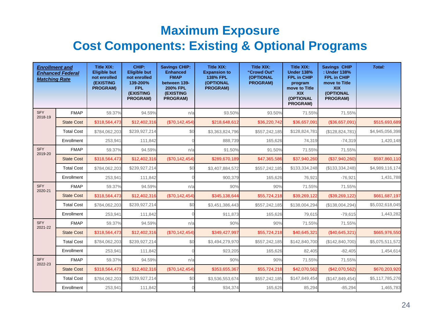#### **Maximum Exposure Cost Components: Existing & Optional Programs**

| <b>Enrollment and</b><br><b>Matching Rate</b> | <b>Enhanced Federal</b> | <b>Title XIX:</b><br><b>Eligible but</b><br>not enrolled<br><b>(EXISTING</b><br><b>PROGRAM)</b> | CHIP:<br><b>Eligible but</b><br>not enrolled<br>139-200%<br><b>FPL</b><br>(EXISTING<br><b>PROGRAM)</b> | <b>Savings CHIP:</b><br><b>Enhanced</b><br><b>FMAP</b><br>between 139-<br><b>200% FPL</b><br>(EXISTING<br><b>PROGRAM)</b> | <b>Title XIX:</b><br><b>Expansion to</b><br><b>138% FPL</b><br><b>(OPTIONAL</b><br><b>PROGRAM)</b> | <b>Title XIX:</b><br>"Crowd Out"<br>(OPTIONAL<br><b>PROGRAM)</b> | <b>Title XIX:</b><br><b>Under 138%</b><br>FPL in CHIP<br>program<br>move to Title<br><b>XIX</b><br>(OPTIONAL<br><b>PROGRAM)</b> | <b>Savings CHIP</b><br>: Under 138%<br>FPL in CHIP<br>move to Title<br><b>XIX</b><br>(OPTIONAL<br>PROGRAM) | Total:          |
|-----------------------------------------------|-------------------------|-------------------------------------------------------------------------------------------------|--------------------------------------------------------------------------------------------------------|---------------------------------------------------------------------------------------------------------------------------|----------------------------------------------------------------------------------------------------|------------------------------------------------------------------|---------------------------------------------------------------------------------------------------------------------------------|------------------------------------------------------------------------------------------------------------|-----------------|
| <b>SFY</b><br>2018-19                         | <b>FMAP</b>             | 59.37%                                                                                          | 94.59%                                                                                                 | n/a                                                                                                                       | 93.50%                                                                                             | 93.50%                                                           | 71.55%                                                                                                                          | 71.55%                                                                                                     |                 |
|                                               | <b>State Cost</b>       | \$318,564,473                                                                                   | \$12,402,316                                                                                           | (\$70,142,454)                                                                                                            | \$218,648,612                                                                                      | \$36,220,742                                                     | \$36,657,091                                                                                                                    | (\$36,657,091)                                                                                             | \$515,693,689   |
|                                               | <b>Total Cost</b>       | \$784,062,203                                                                                   | \$239,927,214                                                                                          | \$0                                                                                                                       | \$3,363,824,796                                                                                    | \$557,242,185                                                    | \$128,824,781                                                                                                                   | (\$128,824,781)                                                                                            | \$4,945,056,398 |
|                                               | Enrollment              | 253.941                                                                                         | 111,842                                                                                                |                                                                                                                           | 888.739                                                                                            | 165,626                                                          | 74,319                                                                                                                          | $-74,319$                                                                                                  | 1,420,148       |
| <b>SFY</b><br>2019-20                         | <b>FMAP</b>             | 59.37%                                                                                          | 94.59%                                                                                                 | n/a                                                                                                                       | 91.50%                                                                                             | 91.50%                                                           | 71.55%                                                                                                                          | 71.55%                                                                                                     |                 |
|                                               | <b>State Cost</b>       | \$318,564,473                                                                                   | \$12,402,316                                                                                           | (\$70,142,454)                                                                                                            | \$289,670,189                                                                                      | \$47,365,586                                                     | \$37,940,260                                                                                                                    | (\$37,940,260)                                                                                             | \$597,860,110   |
|                                               | <b>Total Cost</b>       | \$784,062,203                                                                                   | \$239,927,214                                                                                          | \$0                                                                                                                       | \$3,407,884,572                                                                                    | \$557,242,185                                                    | \$133,334,248                                                                                                                   | (\$133,334,248)                                                                                            | \$4,989,116,174 |
|                                               | Enrollment              | 253,941                                                                                         | 111,842                                                                                                |                                                                                                                           | 900,379                                                                                            | 165,626                                                          | 76,921                                                                                                                          | $-76,921$                                                                                                  | 1,431,788       |
| SFY<br>2020-21                                | <b>FMAP</b>             | 59.37%                                                                                          | 94.59%                                                                                                 | n/a                                                                                                                       | 90%                                                                                                | 90%                                                              | 71.55%                                                                                                                          | 71.55%                                                                                                     |                 |
|                                               | <b>State Cost</b>       | \$318,564,473                                                                                   | \$12,402,316                                                                                           | (S70, 142, 454)                                                                                                           | \$345,138,644                                                                                      | \$55,724,218                                                     | \$39,269,122                                                                                                                    | (\$39,269,122)                                                                                             | \$661,687,197   |
|                                               | <b>Total Cost</b>       | \$784,062,203                                                                                   | \$239,927,214                                                                                          | \$0                                                                                                                       | \$3,451,386,443                                                                                    | \$557,242,185                                                    | \$138,004,294                                                                                                                   | (\$138,004,294)                                                                                            | \$5,032,618,045 |
|                                               | Enrollment              | 253,941                                                                                         | 111,842                                                                                                |                                                                                                                           | 911,873                                                                                            | 165,626                                                          | 79,615                                                                                                                          | $-79,615$                                                                                                  | 1,443,282       |
| <b>SFY</b><br>2021-22                         | <b>FMAP</b>             | 59.37%                                                                                          | 94.59%                                                                                                 | n/a                                                                                                                       | 90%                                                                                                | 90%                                                              | 71.55%                                                                                                                          | 71.55%                                                                                                     |                 |
|                                               | <b>State Cost</b>       | \$318,564,473                                                                                   | \$12,402,316                                                                                           | (\$70,142,454)                                                                                                            | \$349,427,997                                                                                      | \$55,724,218                                                     | \$40,645,321                                                                                                                    | (\$40,645,321)                                                                                             | \$665,976,550   |
|                                               | <b>Total Cost</b>       | \$784,062,203                                                                                   | \$239,927,214                                                                                          | \$0                                                                                                                       | \$3,494,279,970                                                                                    | \$557,242,185                                                    | \$142,840,700                                                                                                                   | (\$142,840,700)                                                                                            | \$5,075,511,572 |
|                                               | Enrollment              | 253,941                                                                                         | 111,842                                                                                                |                                                                                                                           | 923,205                                                                                            | 165,626                                                          | 82,405                                                                                                                          | $-82,405$                                                                                                  | 1,454,614       |
| <b>SFY</b><br>2022-23                         | <b>FMAP</b>             | 59.37%                                                                                          | 94.59%                                                                                                 | n/a                                                                                                                       | 90%                                                                                                | 90%                                                              | 71.55%                                                                                                                          | 71.55%                                                                                                     |                 |
|                                               | <b>State Cost</b>       | \$318,564,473                                                                                   | \$12,402,316                                                                                           | (\$70,142,454)                                                                                                            | \$353,655,367                                                                                      | \$55,724,218                                                     | \$42,070,562                                                                                                                    | (\$42,070,562)                                                                                             | \$670,203,920   |
|                                               | <b>Total Cost</b>       | \$784,062,203                                                                                   | \$239,927,214                                                                                          | \$0                                                                                                                       | \$3,536,553,674                                                                                    | \$557,242,185                                                    | \$147,849,454                                                                                                                   | (\$147,849,454)                                                                                            | \$5,117,785,276 |
|                                               | Enrollment              | 253,941                                                                                         | 111,842                                                                                                |                                                                                                                           | 934,374                                                                                            | 165,626                                                          | 85,294                                                                                                                          | $-85,294$                                                                                                  | 1,465,783       |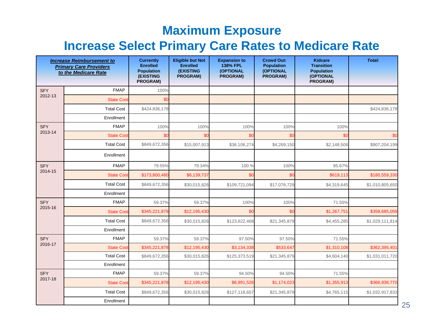#### **Maximum Exposure**

#### **Increase Select Primary Care Rates to Medicare Rate**

|                       | <b>Increase Reimbursement to</b><br><b>Primary Care Providers</b><br>to the Medicare Rate | <b>Currently</b><br><b>Enrolled</b><br><b>Population</b><br><b>(EXISTING</b><br>PROGRAM) | <b>Eligible but Not</b><br><b>Enrolled</b><br><b>(EXISTING</b><br><b>PROGRAM)</b> | <b>Expansion to</b><br><b>138% FPL</b><br>(OPTIONAL<br>PROGRAM) | <b>Crowd Out:</b><br><b>Population</b><br>(OPTIONAL<br><b>PROGRAM)</b> | <b>Kidcare</b><br><b>Transition</b><br><b>Population</b><br>(OPTIONAL<br>PROGRAM) | <b>Total:</b>   |
|-----------------------|-------------------------------------------------------------------------------------------|------------------------------------------------------------------------------------------|-----------------------------------------------------------------------------------|-----------------------------------------------------------------|------------------------------------------------------------------------|-----------------------------------------------------------------------------------|-----------------|
| <b>SFY</b><br>2012-13 | <b>FMAP</b>                                                                               | 100%                                                                                     |                                                                                   |                                                                 |                                                                        |                                                                                   |                 |
|                       | <b>State Cost</b>                                                                         | \$0                                                                                      |                                                                                   |                                                                 |                                                                        |                                                                                   |                 |
|                       | <b>Total Cost</b>                                                                         | \$424,836,178                                                                            |                                                                                   |                                                                 |                                                                        |                                                                                   | \$424,836,178   |
|                       | Enrollment                                                                                |                                                                                          |                                                                                   |                                                                 |                                                                        |                                                                                   |                 |
| <b>SFY</b><br>2013-14 | <b>FMAP</b>                                                                               | 100%                                                                                     | 100%                                                                              | 100%                                                            | 100%                                                                   | 100%                                                                              |                 |
|                       | <b>State Cost</b>                                                                         | \$0                                                                                      | \$C                                                                               | \$C                                                             | \$0                                                                    | \$0                                                                               | \$0             |
|                       | <b>Total Cost</b>                                                                         | \$849,672,356                                                                            | \$15,007,913                                                                      | \$36,106,274                                                    | \$4,269,150                                                            | \$2,148,506                                                                       | \$907,204,199   |
|                       | Enrollment                                                                                |                                                                                          |                                                                                   |                                                                 |                                                                        |                                                                                   |                 |
| <b>SFY</b>            | <b>FMAP</b>                                                                               | 79.55%                                                                                   | 79.34%                                                                            | 100.%                                                           | 100%                                                                   | 85.67%                                                                            |                 |
| 2014-15               | <b>State Cost</b>                                                                         | \$173,800,480                                                                            | \$6,139,737                                                                       | \$ <sub>C</sub>                                                 | \$0                                                                    | \$619,113                                                                         | \$180,559,330   |
|                       | <b>Total Cost</b>                                                                         | \$849,672,356                                                                            | \$30,015,826                                                                      | \$109,721,094                                                   | \$17,076,729                                                           | \$4,319,645                                                                       | \$1,010,805,650 |
|                       | Enrollment                                                                                |                                                                                          |                                                                                   |                                                                 |                                                                        |                                                                                   |                 |
| <b>SFY</b>            | <b>FMAP</b>                                                                               | 59.37%                                                                                   | 59.37%                                                                            | 100%                                                            | 100%                                                                   | 71.55%                                                                            |                 |
| 2015-16               | <b>State Cost</b>                                                                         | \$345,221,878                                                                            | \$12,195,430                                                                      | \$0                                                             | \$0                                                                    | \$1,267,751                                                                       | \$358,685,059   |
|                       | <b>Total Cost</b>                                                                         | \$849,672,356                                                                            | \$30,015,826                                                                      | \$123,622,468                                                   | \$21,345,879                                                           | \$4,455,285                                                                       | \$1,029,111,814 |
|                       | Enrollment                                                                                |                                                                                          |                                                                                   |                                                                 |                                                                        |                                                                                   |                 |
| <b>SFY</b>            | <b>FMAP</b>                                                                               | 59.37%                                                                                   | 59.37%                                                                            | 97.50%                                                          | 97.50%                                                                 | 71.55%                                                                            |                 |
| 2016-17               | <b>State Cost</b>                                                                         | \$345,221,878                                                                            | \$12,195,430                                                                      | \$3,134,338                                                     | \$533,647                                                              | \$1,310,108                                                                       | \$362,395,401   |
|                       | <b>Total Cost</b>                                                                         | \$849,672,356                                                                            | \$30,015,826                                                                      | \$125,373,519                                                   | \$21,345,879                                                           | \$4,604,140                                                                       | \$1,031,011,720 |
|                       | Enrollment                                                                                |                                                                                          |                                                                                   |                                                                 |                                                                        |                                                                                   |                 |
| <b>SFY</b>            | <b>FMAP</b>                                                                               | 59.37%                                                                                   | 59.37%                                                                            | 94.50%                                                          | 94.50%                                                                 | 71.55%                                                                            |                 |
| 2017-18               | <b>State Cost</b>                                                                         | \$345,221,878                                                                            | \$12,195,430                                                                      | \$6,991,526                                                     | \$1,174,023                                                            | \$1,355,913                                                                       | \$366,938,770   |
|                       | <b>Total Cost</b>                                                                         | \$849,672,356                                                                            | \$30,015,826                                                                      | \$127,118,657                                                   | \$21,345,879                                                           | \$4,765,115                                                                       | \$1,032,917,833 |
|                       | Enrollment                                                                                |                                                                                          |                                                                                   |                                                                 |                                                                        |                                                                                   | 25              |